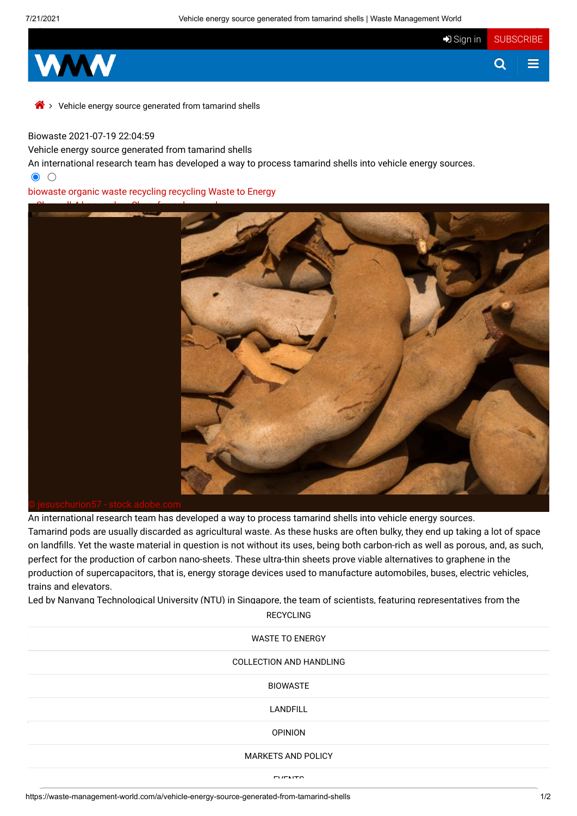

Vehicle energy source generated from tamarind shells

## Biowaste 2021-07-19 22:04:59

Vehicle energy source generated from tamarind shells

An international research team has developed a way to process tamarind shells into vehicle energy sources.

 $\bullet$  0

## [biowaste](https://waste-management-world.com/tag/biowaste) organic [waste recycling](https://waste-management-world.com/tag/organic%20waste%20recycling) [recycling](https://waste-management-world.com/tag/recycling) [Waste to](https://waste-management-world.com/tag/Waste%20to%20Energy) Energy



An international research team has developed a way to process tamarind shells into vehicle energy sources. Tamarind pods are usually discarded as agricultural waste. As these husks are often bulky, they end up taking a lot of space on landfills. Yet the waste material in question is not without its uses, being both carbon-rich as well as porous, and, as such, perfect for the production of carbon nano-sheets. These ultra-thin sheets prove viable alternatives to graphene in the production of supercapacitors, that is, energy storage devices used to manufacture automobiles, buses, electric vehicles, trains and elevators.

Led by Nanyang Technological University (NTU) in Singapore, the team of scientists, featuring representatives from the

 $RECYCLING$ The manufacturing process of conventional nanosheets, [made from industrial](https://waste-management-world.com/waste-to-energy) hemperature energy intense. The manufacturing energy intense. The manufacturing energy intense. The manufacturing energy intense. The manufacturing  $\sim$  24  $\mu$  for 24  $\mu$  50°C for 24  $\mu$  m at a higher temperature as well as  $\mu$ need to process that the amount of the amount of the amount of the amount of the amount of the amount of hempe  $LANDFILL$ **RECYCLING** WASTE TO ENERGY COLLECTION AND HANDLING **BIOWASTE** LANDFILL **OPINION** MARKETS AND POLICY

EUERITS